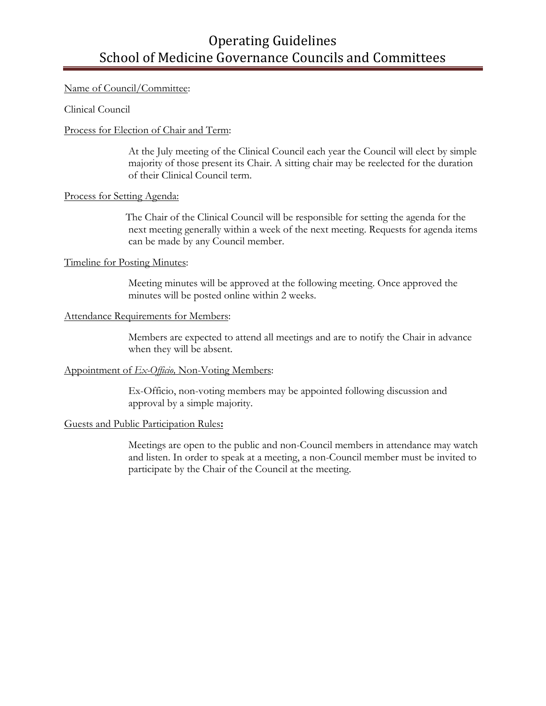# Operating Guidelines School of Medicine Governance Councils and Committees

## Name of Council/Committee:

Clinical Council

## Process for Election of Chair and Term:

At the July meeting of the Clinical Council each year the Council will elect by simple majority of those present its Chair. A sitting chair may be reelected for the duration of their Clinical Council term.

## Process for Setting Agenda:

 The Chair of the Clinical Council will be responsible for setting the agenda for the next meeting generally within a week of the next meeting. Requests for agenda items can be made by any Council member.

## Timeline for Posting Minutes:

Meeting minutes will be approved at the following meeting. Once approved the minutes will be posted online within 2 weeks.

## Attendance Requirements for Members:

Members are expected to attend all meetings and are to notify the Chair in advance when they will be absent.

## Appointment of *Ex-Officio,* Non-Voting Members:

Ex-Officio, non-voting members may be appointed following discussion and approval by a simple majority.

## Guests and Public Participation Rules**:**

Meetings are open to the public and non-Council members in attendance may watch and listen. In order to speak at a meeting, a non-Council member must be invited to participate by the Chair of the Council at the meeting.